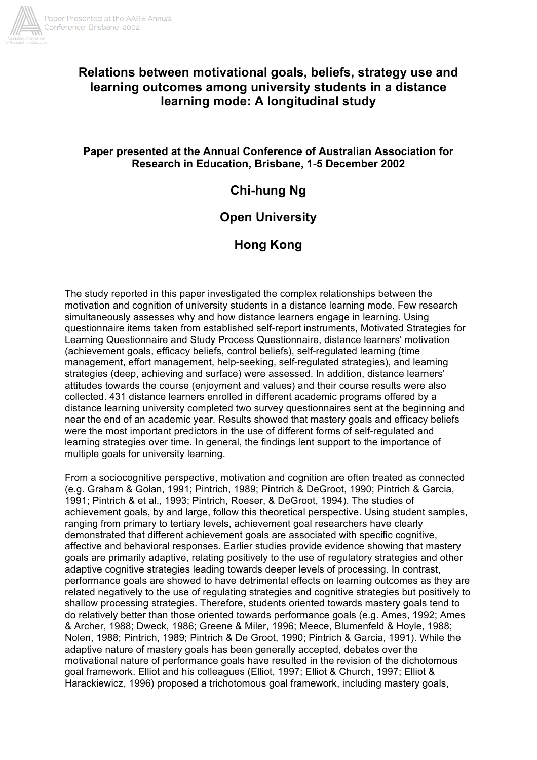

# **Relations between motivational goals, beliefs, strategy use and learning outcomes among university students in a distance learning mode: A longitudinal study**

# **Paper presented at the Annual Conference of Australian Association for Research in Education, Brisbane, 1-5 December 2002**

# **Chi-hung Ng**

# **Open University**

# **Hong Kong**

The study reported in this paper investigated the complex relationships between the motivation and cognition of university students in a distance learning mode. Few research simultaneously assesses why and how distance learners engage in learning. Using questionnaire items taken from established self-report instruments, Motivated Strategies for Learning Questionnaire and Study Process Questionnaire, distance learners' motivation (achievement goals, efficacy beliefs, control beliefs), self-regulated learning (time management, effort management, help-seeking, self-regulated strategies), and learning strategies (deep, achieving and surface) were assessed. In addition, distance learners' attitudes towards the course (enjoyment and values) and their course results were also collected. 431 distance learners enrolled in different academic programs offered by a distance learning university completed two survey questionnaires sent at the beginning and near the end of an academic year. Results showed that mastery goals and efficacy beliefs were the most important predictors in the use of different forms of self-regulated and learning strategies over time. In general, the findings lent support to the importance of multiple goals for university learning.

From a sociocognitive perspective, motivation and cognition are often treated as connected (e.g. Graham & Golan, 1991; Pintrich, 1989; Pintrich & DeGroot, 1990; Pintrich & Garcia, 1991; Pintrich & et al., 1993; Pintrich, Roeser, & DeGroot, 1994). The studies of achievement goals, by and large, follow this theoretical perspective. Using student samples, ranging from primary to tertiary levels, achievement goal researchers have clearly demonstrated that different achievement goals are associated with specific cognitive, affective and behavioral responses. Earlier studies provide evidence showing that mastery goals are primarily adaptive, relating positively to the use of regulatory strategies and other adaptive cognitive strategies leading towards deeper levels of processing. In contrast, performance goals are showed to have detrimental effects on learning outcomes as they are related negatively to the use of regulating strategies and cognitive strategies but positively to shallow processing strategies. Therefore, students oriented towards mastery goals tend to do relatively better than those oriented towards performance goals (e.g. Ames, 1992; Ames & Archer, 1988; Dweck, 1986; Greene & Miler, 1996; Meece, Blumenfeld & Hoyle, 1988; Nolen, 1988; Pintrich, 1989; Pintrich & De Groot, 1990; Pintrich & Garcia, 1991). While the adaptive nature of mastery goals has been generally accepted, debates over the motivational nature of performance goals have resulted in the revision of the dichotomous goal framework. Elliot and his colleagues (Elliot, 1997; Elliot & Church, 1997; Elliot & Harackiewicz, 1996) proposed a trichotomous goal framework, including mastery goals,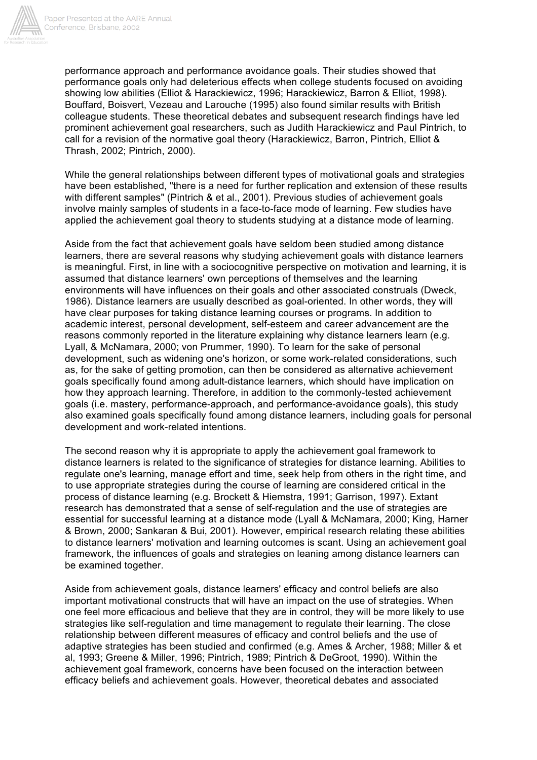

performance approach and performance avoidance goals. Their studies showed that performance goals only had deleterious effects when college students focused on avoiding showing low abilities (Elliot & Harackiewicz, 1996; Harackiewicz, Barron & Elliot, 1998). Bouffard, Boisvert, Vezeau and Larouche (1995) also found similar results with British colleague students. These theoretical debates and subsequent research findings have led prominent achievement goal researchers, such as Judith Harackiewicz and Paul Pintrich, to call for a revision of the normative goal theory (Harackiewicz, Barron, Pintrich, Elliot & Thrash, 2002; Pintrich, 2000).

While the general relationships between different types of motivational goals and strategies have been established, "there is a need for further replication and extension of these results with different samples" (Pintrich & et al., 2001). Previous studies of achievement goals involve mainly samples of students in a face-to-face mode of learning. Few studies have applied the achievement goal theory to students studying at a distance mode of learning.

Aside from the fact that achievement goals have seldom been studied among distance learners, there are several reasons why studying achievement goals with distance learners is meaningful. First, in line with a sociocognitive perspective on motivation and learning, it is assumed that distance learners' own perceptions of themselves and the learning environments will have influences on their goals and other associated construals (Dweck, 1986). Distance learners are usually described as goal-oriented. In other words, they will have clear purposes for taking distance learning courses or programs. In addition to academic interest, personal development, self-esteem and career advancement are the reasons commonly reported in the literature explaining why distance learners learn (e.g. Lyall, & McNamara, 2000; von Prummer, 1990). To learn for the sake of personal development, such as widening one's horizon, or some work-related considerations, such as, for the sake of getting promotion, can then be considered as alternative achievement goals specifically found among adult-distance learners, which should have implication on how they approach learning. Therefore, in addition to the commonly-tested achievement goals (i.e. mastery, performance-approach, and performance-avoidance goals), this study also examined goals specifically found among distance learners, including goals for personal development and work-related intentions.

The second reason why it is appropriate to apply the achievement goal framework to distance learners is related to the significance of strategies for distance learning. Abilities to regulate one's learning, manage effort and time, seek help from others in the right time, and to use appropriate strategies during the course of learning are considered critical in the process of distance learning (e.g. Brockett & Hiemstra, 1991; Garrison, 1997). Extant research has demonstrated that a sense of self-regulation and the use of strategies are essential for successful learning at a distance mode (Lyall & McNamara, 2000; King, Harner & Brown, 2000; Sankaran & Bui, 2001). However, empirical research relating these abilities to distance learners' motivation and learning outcomes is scant. Using an achievement goal framework, the influences of goals and strategies on leaning among distance learners can be examined together.

Aside from achievement goals, distance learners' efficacy and control beliefs are also important motivational constructs that will have an impact on the use of strategies. When one feel more efficacious and believe that they are in control, they will be more likely to use strategies like self-regulation and time management to regulate their learning. The close relationship between different measures of efficacy and control beliefs and the use of adaptive strategies has been studied and confirmed (e.g. Ames & Archer, 1988; Miller & et al, 1993; Greene & Miller, 1996; Pintrich, 1989; Pintrich & DeGroot, 1990). Within the achievement goal framework, concerns have been focused on the interaction between efficacy beliefs and achievement goals. However, theoretical debates and associated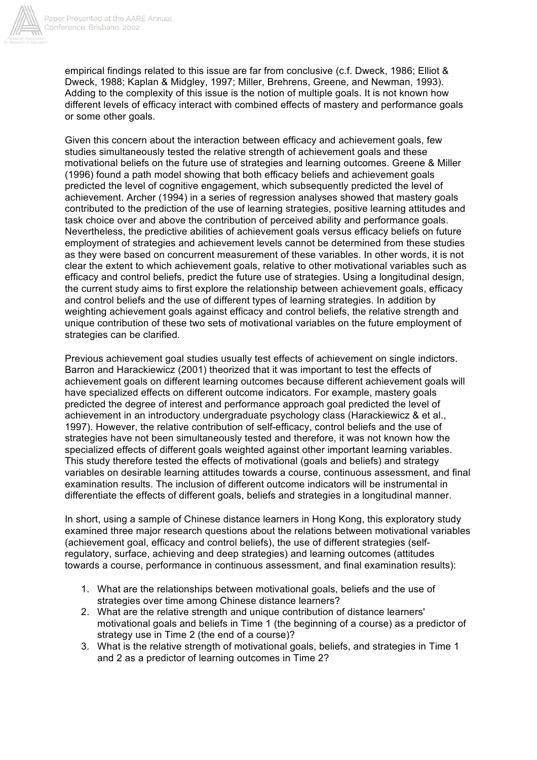

empirical findings related to this issue are far from conclusive (c.f. Dweck, 1986; Elliot & Dweck, 1988; Kaplan & Midgley, 1997; Miller, Brehrens, Greene, and Newman, 1993). Adding to the complexity of this issue is the notion of multiple goals. It is not known how different levels of efficacy interact with combined effects of mastery and performance goals or some other goals.

Given this concern about the interaction between efficacy and achievement goals, few studies simultaneously tested the relative strength of achievement goals and these motivational beliefs on the future use of strategies and learning outcomes. Greene & Miller (1996) found a path model showing that both efficacy beliefs and achievement goals predicted the level of cognitive engagement, which subsequently predicted the level of achievement. Archer (1994) in a series of regression analyses showed that mastery goals contributed to the prediction of the use of learning strategies, positive learning attitudes and task choice over and above the contribution of perceived ability and performance goals. Nevertheless, the predictive abilities of achievement goals versus efficacy beliefs on future employment of strategies and achievement levels cannot be determined from these studies as they were based on concurrent measurement of these variables. In other words, it is not clear the extent to which achievement goals, relative to other motivational variables such as efficacy and control beliefs, predict the future use of strategies. Using a longitudinal design, the current study aims to first explore the relationship between achievement goals, efficacy and control beliefs and the use of different types of learning strategies. In addition by weighting achievement goals against efficacy and control beliefs, the relative strength and unique contribution of these two sets of motivational variables on the future employment of strategies can be clarified*.*

Previous achievement goal studies usually test effects of achievement on single indictors. Barron and Harackiewicz (2001) theorized that it was important to test the effects of achievement goals on different learning outcomes because different achievement goals will have specialized effects on different outcome indicators. For example, mastery goals predicted the degree of interest and performance approach goal predicted the level of achievement in an introductory undergraduate psychology class (Harackiewicz & et al., 1997). However, the relative contribution of self-efficacy, control beliefs and the use of strategies have not been simultaneously tested and therefore, it was not known how the specialized effects of different goals weighted against other important learning variables. This study therefore tested the effects of motivational (goals and beliefs) and strategy variables on desirable learning attitudes towards a course, continuous assessment, and final examination results. The inclusion of different outcome indicators will be instrumental in differentiate the effects of different goals, beliefs and strategies in a longitudinal manner.

In short, using a sample of Chinese distance learners in Hong Kong, this exploratory study examined three major research questions about the relations between motivational variables (achievement goal, efficacy and control beliefs), the use of different strategies (selfregulatory, surface, achieving and deep strategies) and learning outcomes (attitudes towards a course, performance in continuous assessment, and final examination results):

- 1. What are the relationships between motivational goals, beliefs and the use of strategies over time among Chinese distance learners?
- 2. What are the relative strength and unique contribution of distance learners' motivational goals and beliefs in Time 1 (the beginning of a course) as a predictor of strategy use in Time 2 (the end of a course)?
- 3. What is the relative strength of motivational goals, beliefs, and strategies in Time 1 and 2 as a predictor of learning outcomes in Time 2?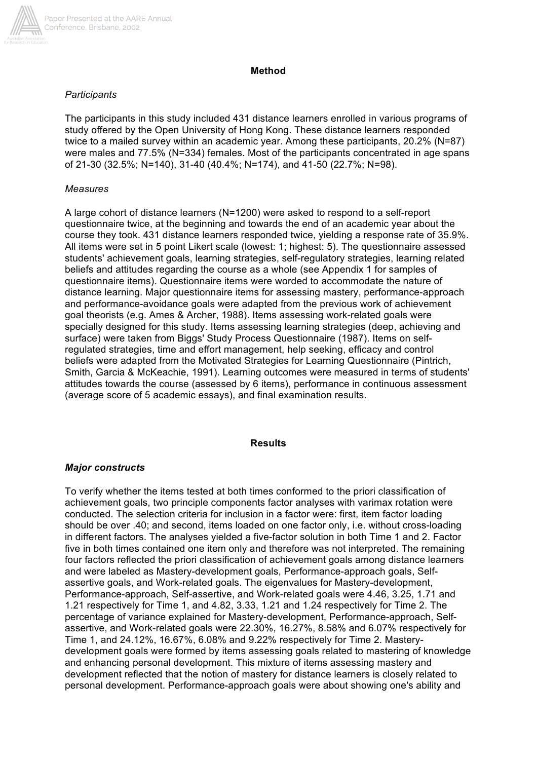

### **Method**

### *Participants*

The participants in this study included 431 distance learners enrolled in various programs of study offered by the Open University of Hong Kong. These distance learners responded twice to a mailed survey within an academic year. Among these participants, 20.2% (N=87) were males and 77.5% (N=334) females. Most of the participants concentrated in age spans of 21-30 (32.5%; N=140), 31-40 (40.4%; N=174), and 41-50 (22.7%; N=98).

### *Measures*

A large cohort of distance learners (N=1200) were asked to respond to a self-report questionnaire twice, at the beginning and towards the end of an academic year about the course they took. 431 distance learners responded twice, yielding a response rate of 35.9%. All items were set in 5 point Likert scale (lowest: 1; highest: 5). The questionnaire assessed students' achievement goals, learning strategies, self-regulatory strategies, learning related beliefs and attitudes regarding the course as a whole (see Appendix 1 for samples of questionnaire items). Questionnaire items were worded to accommodate the nature of distance learning. Major questionnaire items for assessing mastery, performance-approach and performance-avoidance goals were adapted from the previous work of achievement goal theorists (e.g. Ames & Archer, 1988). Items assessing work-related goals were specially designed for this study. Items assessing learning strategies (deep, achieving and surface) were taken from Biggs' Study Process Questionnaire (1987). Items on selfregulated strategies, time and effort management, help seeking, efficacy and control beliefs were adapted from the Motivated Strategies for Learning Questionnaire (Pintrich, Smith, Garcia & McKeachie, 1991). Learning outcomes were measured in terms of students' attitudes towards the course (assessed by 6 items), performance in continuous assessment (average score of 5 academic essays), and final examination results.

#### **Results**

## *Major constructs*

To verify whether the items tested at both times conformed to the priori classification of achievement goals, two principle components factor analyses with varimax rotation were conducted. The selection criteria for inclusion in a factor were: first, item factor loading should be over .40; and second, items loaded on one factor only, i.e. without cross-loading in different factors. The analyses yielded a five-factor solution in both Time 1 and 2. Factor five in both times contained one item only and therefore was not interpreted. The remaining four factors reflected the priori classification of achievement goals among distance learners and were labeled as Mastery-development goals, Performance-approach goals, Selfassertive goals, and Work-related goals. The eigenvalues for Mastery-development, Performance-approach, Self-assertive, and Work-related goals were 4.46, 3.25, 1.71 and 1.21 respectively for Time 1, and 4.82, 3.33, 1.21 and 1.24 respectively for Time 2. The percentage of variance explained for Mastery-development, Performance-approach, Selfassertive, and Work-related goals were 22.30%, 16.27%, 8.58% and 6.07% respectively for Time 1, and 24.12%, 16.67%, 6.08% and 9.22% respectively for Time 2. Masterydevelopment goals were formed by items assessing goals related to mastering of knowledge and enhancing personal development. This mixture of items assessing mastery and development reflected that the notion of mastery for distance learners is closely related to personal development. Performance-approach goals were about showing one's ability and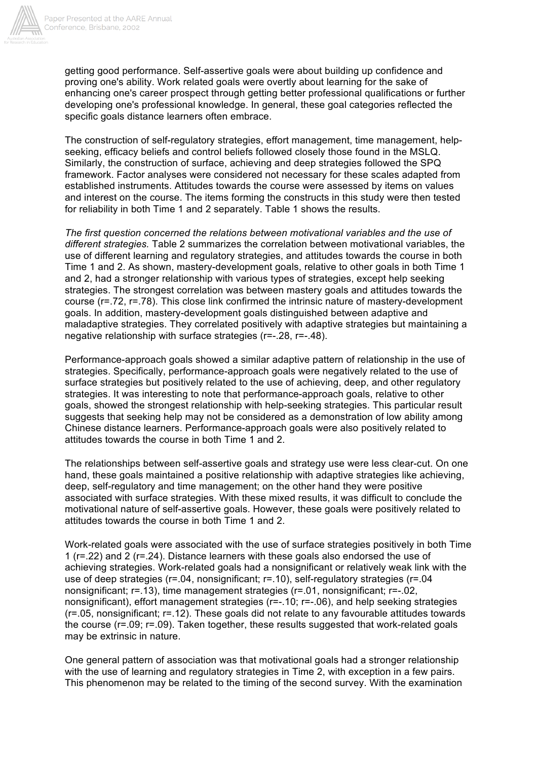

getting good performance. Self-assertive goals were about building up confidence and proving one's ability. Work related goals were overtly about learning for the sake of enhancing one's career prospect through getting better professional qualifications or further developing one's professional knowledge. In general, these goal categories reflected the specific goals distance learners often embrace.

The construction of self-regulatory strategies, effort management, time management, helpseeking, efficacy beliefs and control beliefs followed closely those found in the MSLQ. Similarly, the construction of surface, achieving and deep strategies followed the SPQ framework. Factor analyses were considered not necessary for these scales adapted from established instruments. Attitudes towards the course were assessed by items on values and interest on the course. The items forming the constructs in this study were then tested for reliability in both Time 1 and 2 separately. Table 1 shows the results.

*The first question concerned the relations between motivational variables and the use of different strategies.* Table 2 summarizes the correlation between motivational variables, the use of different learning and regulatory strategies, and attitudes towards the course in both Time 1 and 2. As shown, mastery-development goals, relative to other goals in both Time 1 and 2, had a stronger relationship with various types of strategies, except help seeking strategies. The strongest correlation was between mastery goals and attitudes towards the course (r=.72, r=.78). This close link confirmed the intrinsic nature of mastery-development goals. In addition, mastery-development goals distinguished between adaptive and maladaptive strategies. They correlated positively with adaptive strategies but maintaining a negative relationship with surface strategies (r=-.28, r=-.48).

Performance-approach goals showed a similar adaptive pattern of relationship in the use of strategies. Specifically, performance-approach goals were negatively related to the use of surface strategies but positively related to the use of achieving, deep, and other regulatory strategies. It was interesting to note that performance-approach goals, relative to other goals, showed the strongest relationship with help-seeking strategies. This particular result suggests that seeking help may not be considered as a demonstration of low ability among Chinese distance learners. Performance-approach goals were also positively related to attitudes towards the course in both Time 1 and 2.

The relationships between self-assertive goals and strategy use were less clear-cut. On one hand, these goals maintained a positive relationship with adaptive strategies like achieving, deep, self-regulatory and time management; on the other hand they were positive associated with surface strategies. With these mixed results, it was difficult to conclude the motivational nature of self-assertive goals. However, these goals were positively related to attitudes towards the course in both Time 1 and 2.

Work-related goals were associated with the use of surface strategies positively in both Time 1 (r=.22) and 2 (r=.24). Distance learners with these goals also endorsed the use of achieving strategies. Work-related goals had a nonsignificant or relatively weak link with the use of deep strategies (r=.04, nonsignificant; r=.10), self-regulatory strategies (r=.04 nonsignificant; r=.13), time management strategies (r=.01, nonsignificant; r=-.02, nonsignificant), effort management strategies (r=-.10; r=-.06), and help seeking strategies (r=.05, nonsignificant; r=.12). These goals did not relate to any favourable attitudes towards the course (r=.09; r=.09). Taken together, these results suggested that work-related goals may be extrinsic in nature.

One general pattern of association was that motivational goals had a stronger relationship with the use of learning and regulatory strategies in Time 2, with exception in a few pairs. This phenomenon may be related to the timing of the second survey. With the examination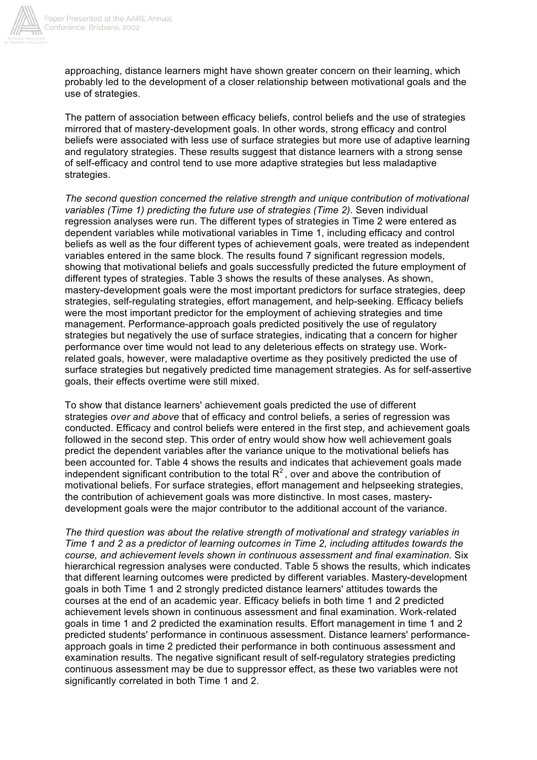

approaching, distance learners might have shown greater concern on their learning, which probably led to the development of a closer relationship between motivational goals and the use of strategies.

The pattern of association between efficacy beliefs, control beliefs and the use of strategies mirrored that of mastery-development goals. In other words, strong efficacy and control beliefs were associated with less use of surface strategies but more use of adaptive learning and regulatory strategies. These results suggest that distance learners with a strong sense of self-efficacy and control tend to use more adaptive strategies but less maladaptive strategies.

*The second question concerned the relative strength and unique contribution of motivational variables (Time 1) predicting the future use of strategies (Time 2)*. Seven individual regression analyses were run. The different types of strategies in Time 2 were entered as dependent variables while motivational variables in Time 1, including efficacy and control beliefs as well as the four different types of achievement goals, were treated as independent variables entered in the same block. The results found 7 significant regression models, showing that motivational beliefs and goals successfully predicted the future employment of different types of strategies. Table 3 shows the results of these analyses. As shown, mastery-development goals were the most important predictors for surface strategies, deep strategies, self-regulating strategies, effort management, and help-seeking. Efficacy beliefs were the most important predictor for the employment of achieving strategies and time management. Performance-approach goals predicted positively the use of regulatory strategies but negatively the use of surface strategies, indicating that a concern for higher performance over time would not lead to any deleterious effects on strategy use. Workrelated goals, however, were maladaptive overtime as they positively predicted the use of surface strategies but negatively predicted time management strategies. As for self-assertive goals, their effects overtime were still mixed.

To show that distance learners' achievement goals predicted the use of different strategies *over and above* that of efficacy and control beliefs, a series of regression was conducted. Efficacy and control beliefs were entered in the first step, and achievement goals followed in the second step. This order of entry would show how well achievement goals predict the dependent variables after the variance unique to the motivational beliefs has been accounted for. Table 4 shows the results and indicates that achievement goals made independent significant contribution to the total  $R<sup>2</sup>$ , over and above the contribution of motivational beliefs. For surface strategies, effort management and helpseeking strategies, the contribution of achievement goals was more distinctive. In most cases, masterydevelopment goals were the major contributor to the additional account of the variance.

*The third question was about the relative strength of motivational and strategy variables in Time 1 and 2 as a predictor of learning outcomes in Time 2, including attitudes towards the course, and achievement levels shown in continuous assessment and final examination.* Six hierarchical regression analyses were conducted. Table 5 shows the results, which indicates that different learning outcomes were predicted by different variables. Mastery-development goals in both Time 1 and 2 strongly predicted distance learners' attitudes towards the courses at the end of an academic year. Efficacy beliefs in both time 1 and 2 predicted achievement levels shown in continuous assessment and final examination. Work-related goals in time 1 and 2 predicted the examination results. Effort management in time 1 and 2 predicted students' performance in continuous assessment. Distance learners' performanceapproach goals in time 2 predicted their performance in both continuous assessment and examination results. The negative significant result of self-regulatory strategies predicting continuous assessment may be due to suppressor effect, as these two variables were not significantly correlated in both Time 1 and 2.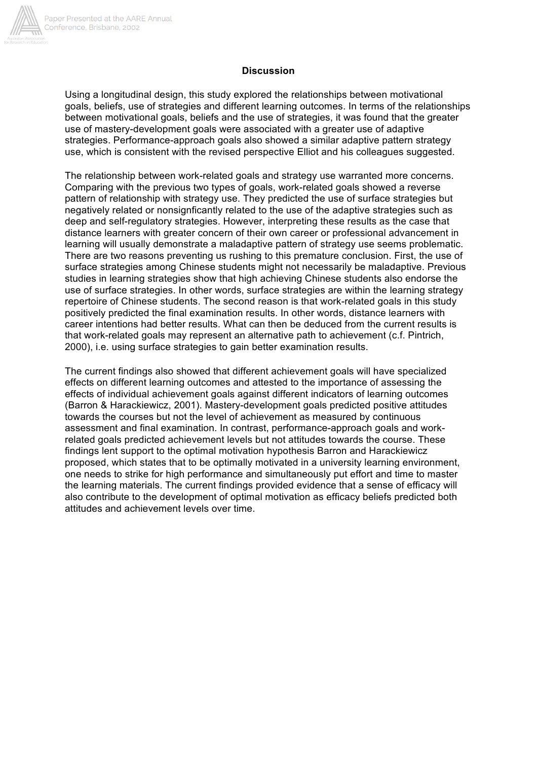

## **Discussion**

Using a longitudinal design, this study explored the relationships between motivational goals, beliefs, use of strategies and different learning outcomes. In terms of the relationships between motivational goals, beliefs and the use of strategies, it was found that the greater use of mastery-development goals were associated with a greater use of adaptive strategies. Performance-approach goals also showed a similar adaptive pattern strategy use, which is consistent with the revised perspective Elliot and his colleagues suggested.

The relationship between work-related goals and strategy use warranted more concerns. Comparing with the previous two types of goals, work-related goals showed a reverse pattern of relationship with strategy use. They predicted the use of surface strategies but negatively related or nonsignficantly related to the use of the adaptive strategies such as deep and self-regulatory strategies. However, interpreting these results as the case that distance learners with greater concern of their own career or professional advancement in learning will usually demonstrate a maladaptive pattern of strategy use seems problematic. There are two reasons preventing us rushing to this premature conclusion. First, the use of surface strategies among Chinese students might not necessarily be maladaptive. Previous studies in learning strategies show that high achieving Chinese students also endorse the use of surface strategies. In other words, surface strategies are within the learning strategy repertoire of Chinese students. The second reason is that work-related goals in this study positively predicted the final examination results. In other words, distance learners with career intentions had better results. What can then be deduced from the current results is that work-related goals may represent an alternative path to achievement (c.f. Pintrich, 2000), i.e. using surface strategies to gain better examination results.

The current findings also showed that different achievement goals will have specialized effects on different learning outcomes and attested to the importance of assessing the effects of individual achievement goals against different indicators of learning outcomes (Barron & Harackiewicz, 2001). Mastery-development goals predicted positive attitudes towards the courses but not the level of achievement as measured by continuous assessment and final examination. In contrast, performance-approach goals and workrelated goals predicted achievement levels but not attitudes towards the course. These findings lent support to the optimal motivation hypothesis Barron and Harackiewicz proposed, which states that to be optimally motivated in a university learning environment, one needs to strike for high performance and simultaneously put effort and time to master the learning materials. The current findings provided evidence that a sense of efficacy will also contribute to the development of optimal motivation as efficacy beliefs predicted both attitudes and achievement levels over time.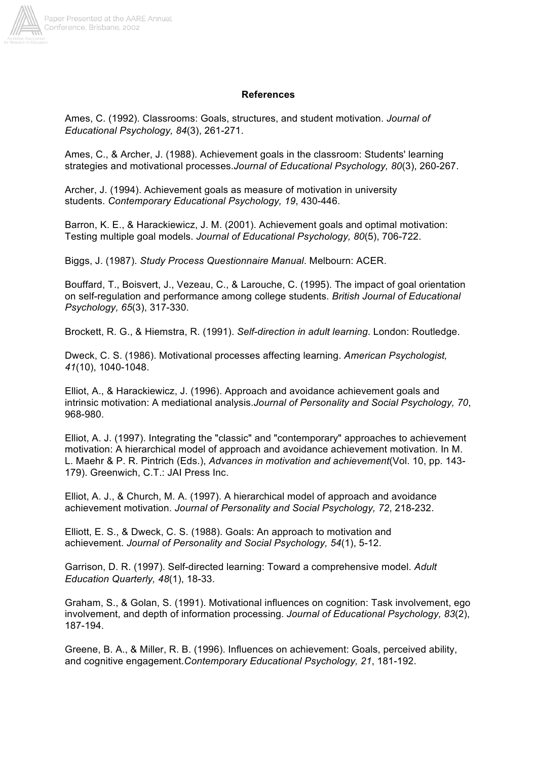

#### **References**

Ames, C. (1992). Classrooms: Goals, structures, and student motivation. *Journal of Educational Psychology, 84*(3), 261-271.

Ames, C., & Archer, J. (1988). Achievement goals in the classroom: Students' learning strategies and motivational processes.*Journal of Educational Psychology, 80*(3), 260-267.

Archer, J. (1994). Achievement goals as measure of motivation in university students. *Contemporary Educational Psychology, 19*, 430-446.

Barron, K. E., & Harackiewicz, J. M. (2001). Achievement goals and optimal motivation: Testing multiple goal models. *Journal of Educational Psychology, 80*(5), 706-722.

Biggs, J. (1987). *Study Process Questionnaire Manual*. Melbourn: ACER.

Bouffard, T., Boisvert, J., Vezeau, C., & Larouche, C. (1995). The impact of goal orientation on self-regulation and performance among college students. *British Journal of Educational Psychology, 65*(3), 317-330.

Brockett, R. G., & Hiemstra, R. (1991). *Self-direction in adult learning*. London: Routledge.

Dweck, C. S. (1986). Motivational processes affecting learning. *American Psychologist, 41*(10), 1040-1048.

Elliot, A., & Harackiewicz, J. (1996). Approach and avoidance achievement goals and intrinsic motivation: A mediational analysis.*Journal of Personality and Social Psychology, 70*, 968-980.

Elliot, A. J. (1997). Integrating the "classic" and "contemporary" approaches to achievement motivation: A hierarchical model of approach and avoidance achievement motivation. In M. L. Maehr & P. R. Pintrich (Eds.), *Advances in motivation and achievement*(Vol. 10, pp. 143- 179). Greenwich, C.T.: JAI Press Inc.

Elliot, A. J., & Church, M. A. (1997). A hierarchical model of approach and avoidance achievement motivation. *Journal of Personality and Social Psychology, 72*, 218-232.

Elliott, E. S., & Dweck, C. S. (1988). Goals: An approach to motivation and achievement. *Journal of Personality and Social Psychology, 54*(1), 5-12.

Garrison, D. R. (1997). Self-directed learning: Toward a comprehensive model. *Adult Education Quarterly, 48*(1), 18-33.

Graham, S., & Golan, S. (1991). Motivational influences on cognition: Task involvement, ego involvement, and depth of information processing. *Journal of Educational Psychology, 83*(2), 187-194.

Greene, B. A., & Miller, R. B. (1996). Influences on achievement: Goals, perceived ability, and cognitive engagement.*Contemporary Educational Psychology, 21*, 181-192.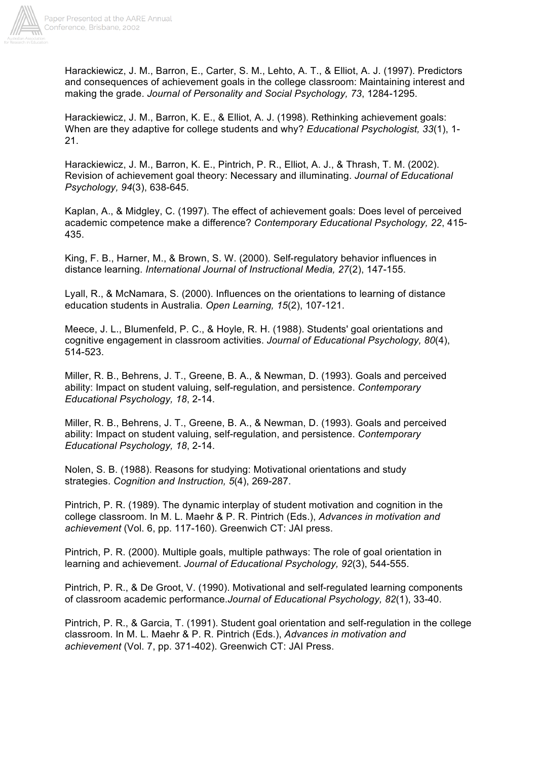

Harackiewicz, J. M., Barron, E., Carter, S. M., Lehto, A. T., & Elliot, A. J. (1997). Predictors and consequences of achievement goals in the college classroom: Maintaining interest and making the grade. *Journal of Personality and Social Psychology, 73*, 1284-1295.

Harackiewicz, J. M., Barron, K. E., & Elliot, A. J. (1998). Rethinking achievement goals: When are they adaptive for college students and why? *Educational Psychologist, 33*(1), 1- 21.

Harackiewicz, J. M., Barron, K. E., Pintrich, P. R., Elliot, A. J., & Thrash, T. M. (2002). Revision of achievement goal theory: Necessary and illuminating. *Journal of Educational Psychology, 94*(3), 638-645.

Kaplan, A., & Midgley, C. (1997). The effect of achievement goals: Does level of perceived academic competence make a difference? *Contemporary Educational Psychology, 22*, 415- 435.

King, F. B., Harner, M., & Brown, S. W. (2000). Self-regulatory behavior influences in distance learning. *International Journal of Instructional Media, 27*(2), 147-155.

Lyall, R., & McNamara, S. (2000). Influences on the orientations to learning of distance education students in Australia. *Open Learning, 15*(2), 107-121.

Meece, J. L., Blumenfeld, P. C., & Hoyle, R. H. (1988). Students' goal orientations and cognitive engagement in classroom activities. *Journal of Educational Psychology, 80*(4), 514-523.

Miller, R. B., Behrens, J. T., Greene, B. A., & Newman, D. (1993). Goals and perceived ability: Impact on student valuing, self-regulation, and persistence. *Contemporary Educational Psychology, 18*, 2-14.

Miller, R. B., Behrens, J. T., Greene, B. A., & Newman, D. (1993). Goals and perceived ability: Impact on student valuing, self-regulation, and persistence. *Contemporary Educational Psychology, 18*, 2-14.

Nolen, S. B. (1988). Reasons for studying: Motivational orientations and study strategies. *Cognition and Instruction, 5*(4), 269-287.

Pintrich, P. R. (1989). The dynamic interplay of student motivation and cognition in the college classroom. In M. L. Maehr & P. R. Pintrich (Eds.), *Advances in motivation and achievement* (Vol. 6, pp. 117-160). Greenwich CT: JAI press.

Pintrich, P. R. (2000). Multiple goals, multiple pathways: The role of goal orientation in learning and achievement. *Journal of Educational Psychology, 92*(3), 544-555.

Pintrich, P. R., & De Groot, V. (1990). Motivational and self-regulated learning components of classroom academic performance.*Journal of Educational Psychology, 82*(1), 33-40.

Pintrich, P. R., & Garcia, T. (1991). Student goal orientation and self-regulation in the college classroom. In M. L. Maehr & P. R. Pintrich (Eds.), *Advances in motivation and achievement* (Vol. 7, pp. 371-402). Greenwich CT: JAI Press.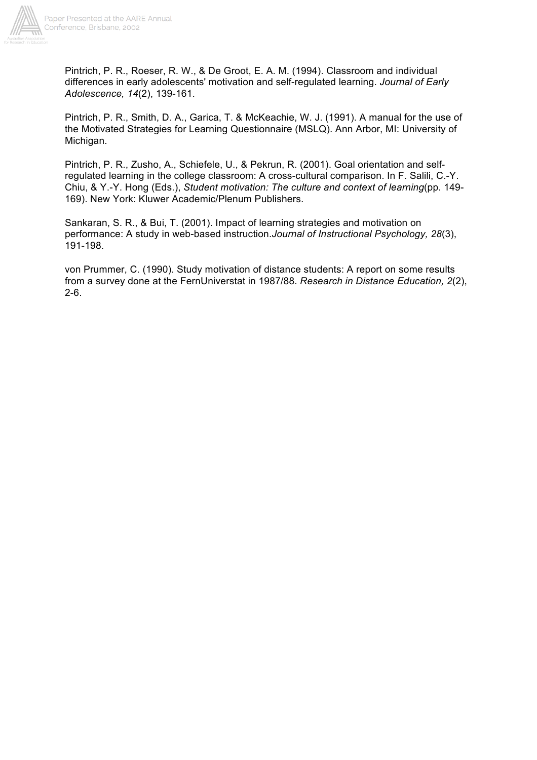

Pintrich, P. R., Roeser, R. W., & De Groot, E. A. M. (1994). Classroom and individual differences in early adolescents' motivation and self-regulated learning. *Journal of Early Adolescence, 14*(2), 139-161.

Pintrich, P. R., Smith, D. A., Garica, T. & McKeachie, W. J. (1991). A manual for the use of the Motivated Strategies for Learning Questionnaire (MSLQ). Ann Arbor, MI: University of Michigan.

Pintrich, P. R., Zusho, A., Schiefele, U., & Pekrun, R. (2001). Goal orientation and selfregulated learning in the college classroom: A cross-cultural comparison. In F. Salili, C.-Y. Chiu, & Y.-Y. Hong (Eds.), *Student motivation: The culture and context of learning*(pp. 149- 169). New York: Kluwer Academic/Plenum Publishers.

Sankaran, S. R., & Bui, T. (2001). Impact of learning strategies and motivation on performance: A study in web-based instruction.*Journal of Instructional Psychology, 28*(3), 191-198.

von Prummer, C. (1990). Study motivation of distance students: A report on some results from a survey done at the FernUniverstat in 1987/88. *Research in Distance Education, 2*(2), 2-6.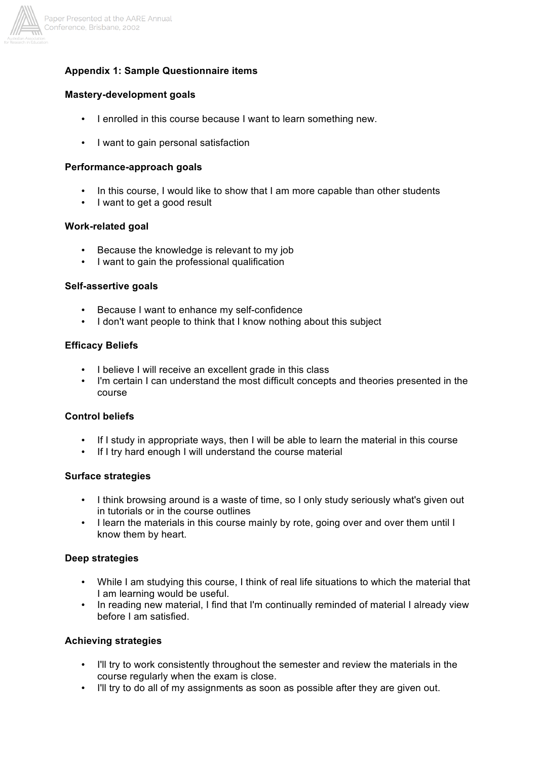

## **Appendix 1: Sample Questionnaire items**

#### **Mastery-development goals**

- I enrolled in this course because I want to learn something new.
- I want to gain personal satisfaction

#### **Performance-approach goals**

- In this course, I would like to show that I am more capable than other students
- I want to get a good result

#### **Work-related goal**

- Because the knowledge is relevant to my job
- I want to gain the professional qualification

#### **Self-assertive goals**

- Because I want to enhance my self-confidence
- I don't want people to think that I know nothing about this subject

## **Efficacy Beliefs**

- I believe I will receive an excellent grade in this class
- I'm certain I can understand the most difficult concepts and theories presented in the course

## **Control beliefs**

- If I study in appropriate ways, then I will be able to learn the material in this course
- If I try hard enough I will understand the course material

#### **Surface strategies**

- I think browsing around is a waste of time, so I only study seriously what's given out in tutorials or in the course outlines
- I learn the materials in this course mainly by rote, going over and over them until I know them by heart.

## **Deep strategies**

- While I am studying this course, I think of real life situations to which the material that I am learning would be useful.
- In reading new material, I find that I'm continually reminded of material I already view before I am satisfied.

## **Achieving strategies**

- I'll try to work consistently throughout the semester and review the materials in the course regularly when the exam is close.
- I'll try to do all of my assignments as soon as possible after they are given out.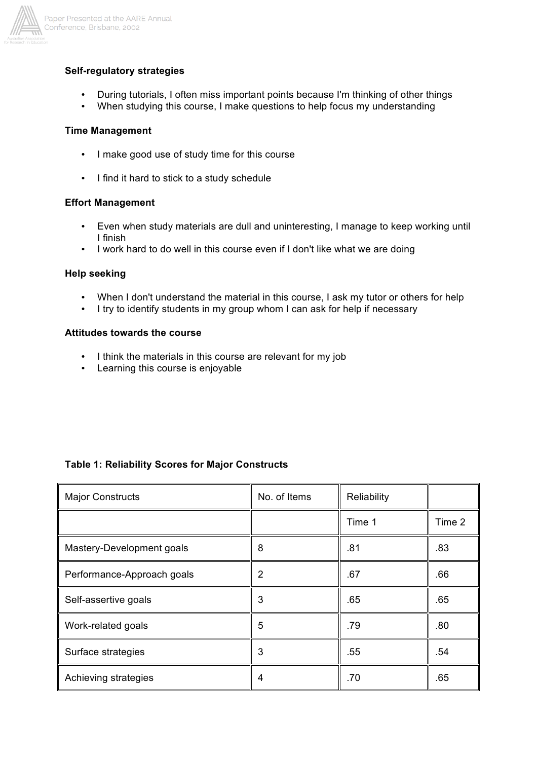

## **Self-regulatory strategies**

- During tutorials, I often miss important points because I'm thinking of other things
- When studying this course, I make questions to help focus my understanding

### **Time Management**

- I make good use of study time for this course
- I find it hard to stick to a study schedule

#### **Effort Management**

- Even when study materials are dull and uninteresting, I manage to keep working until I finish
- I work hard to do well in this course even if I don't like what we are doing

#### **Help seeking**

- When I don't understand the material in this course, I ask my tutor or others for help<br>• I try to identify students in my group whom I can ask for help if necessary
- I try to identify students in my group whom I can ask for help if necessary

# **Attitudes towards the course**

- I think the materials in this course are relevant for my job
- Learning this course is enjoyable

| <b>Major Constructs</b>    | No. of Items | Reliability |        |
|----------------------------|--------------|-------------|--------|
|                            |              | Time 1      | Time 2 |
| Mastery-Development goals  | 8            | .81         | .83    |
| Performance-Approach goals | 2            | .67         | .66    |
| Self-assertive goals       | 3            | .65         | .65    |
| Work-related goals         | 5            | .79         | .80    |
| Surface strategies         | 3            | .55         | .54    |
| Achieving strategies       | 4            | .70         | .65    |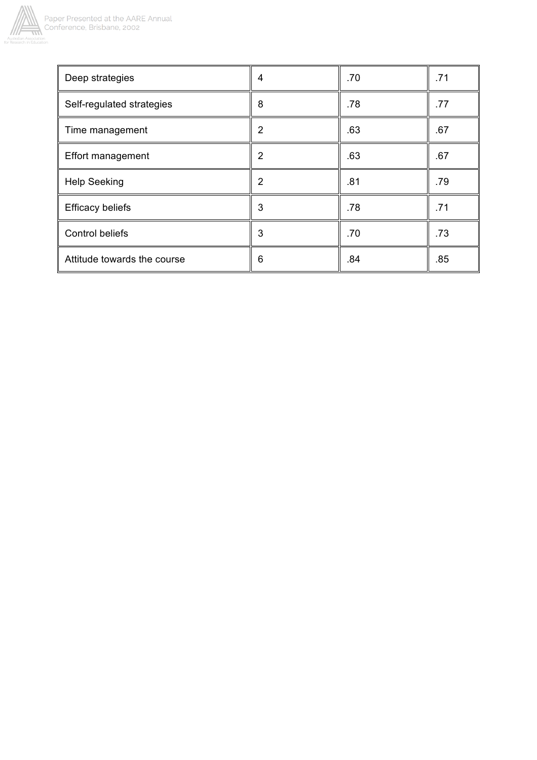

| Deep strategies             | 4              | .70 | .71 |
|-----------------------------|----------------|-----|-----|
| Self-regulated strategies   | 8              | .78 | .77 |
| Time management             | 2              | .63 | .67 |
| <b>Effort management</b>    | 2              | .63 | .67 |
| <b>Help Seeking</b>         | $\overline{2}$ | .81 | .79 |
| <b>Efficacy beliefs</b>     | 3              | .78 | .71 |
| <b>Control beliefs</b>      | 3              | .70 | .73 |
| Attitude towards the course | 6              | .84 | .85 |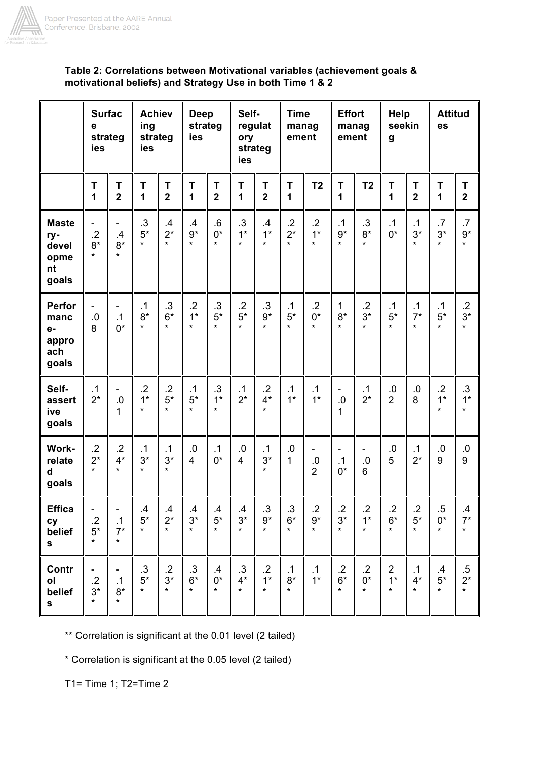

# Table 2: Correlations between Motivational variables (achievement goals & motivational beliefs) and Strategy Use in both Time 1 & 2

|                                                     | <b>Surfac</b><br>е<br>strateg<br>ies |                               | <b>Achiev</b><br>ing<br>strateg<br>ies |                                   | Deep<br>strateg<br>ies            |                                   | Self-<br>regulat<br>ory<br>strateg<br>ies |                                     | <b>Time</b><br>manag<br>ement       |                                    | <b>Effort</b><br>manag<br>ement    |                                      | <b>Help</b><br>seekin<br>g        |                               | <b>Attitud</b><br>es                  |                                               |
|-----------------------------------------------------|--------------------------------------|-------------------------------|----------------------------------------|-----------------------------------|-----------------------------------|-----------------------------------|-------------------------------------------|-------------------------------------|-------------------------------------|------------------------------------|------------------------------------|--------------------------------------|-----------------------------------|-------------------------------|---------------------------------------|-----------------------------------------------|
|                                                     | T<br>1                               | Τ<br>$\overline{\mathbf{2}}$  | T<br>1                                 | T<br>$\overline{2}$               | T<br>1                            | Τ<br>$\overline{2}$               | T<br>1                                    | Τ<br>$\overline{\mathbf{2}}$        | T<br>1                              | T <sub>2</sub>                     | T<br>1                             | T <sub>2</sub>                       | T<br>1                            | T<br>$\overline{\mathbf{2}}$  | Τ<br>1                                | T<br>$\overline{\mathbf{2}}$                  |
| <b>Maste</b><br>ry-<br>devel<br>opme<br>nt<br>goals | $\cdot$ .2<br>$8*$<br>$\star$        | .4<br>$8*$<br>$\star$         | .3<br>$5^\star$<br>$\star$             | $\mathbf{.4}$<br>$2^*$<br>$\star$ | .4<br>$9*$<br>$\star$             | $.6\,$<br>$0^*$<br>$\star$        | $\cdot$<br>$1*$<br>$\star$                | $\mathbf{.4}$<br>$1*$<br>$\star$    | $.2\,$<br>$2^*$<br>$\star$          | $.2\phantom{0}$<br>$1*$<br>$\star$ | $\cdot$ 1<br>$9*$<br>$\star$       | $.3\,$<br>$8*$<br>$\star$            | .1<br>$0*$                        | .1<br>$3*$<br>$\star$         | .7<br>$3*$<br>$\star$                 | .7<br>$9^{\star}$<br>$\star$                  |
| Perfor<br>manc<br>$e-$<br>appro<br>ach<br>goals     | $.0\,$<br>8                          | .1<br>$0^*$                   | .1<br>$8^\star$<br>$\star$             | .3<br>$6*$<br>$\star$             | $.2\,$<br>$1*$<br>$\star$         | $.3\,$<br>$5*$<br>$\star$         | $.2\,$<br>$5*$<br>$\star$                 | $\cdot$ 3<br>$9^{\star}$<br>$\star$ | .1<br>$5^{\star}$<br>$\star$        | .2<br>$0^*$<br>$\star$             | 1<br>$8*$<br>$\star$               | $\cdot$ .2<br>$3^{\star}$<br>$\star$ | $\cdot$ 1<br>$5^\star$<br>$\star$ | .1<br>$7*$<br>$\star$         | $\cdot$ 1<br>$5*$<br>$\star$          | $\cdot$<br>$3^*$                              |
| Self-<br>assert<br>ive<br>goals                     | $\cdot$ 1<br>$2^*$                   | $.0\,$<br>1                   | $\cdot$ .2<br>$1*$<br>$\star$          | $\cdot$<br>$5*$<br>$\star$        | $\cdot$ 1<br>$5*$<br>$\star$      | $.3\,$<br>$1*$<br>$\star$         | $\frac{.1}{2^{*}}$                        | $\cdot$<br>$4^\star$<br>$\star$     | $\cdot$ 1<br>$1*$                   | $\cdot$ 1<br>$1*$                  | ۰.<br>$0.5\,$<br>1                 | .1<br>$2^*$                          | $\frac{.0}{2}$                    | 0.<br>8                       | $.2\,$<br>$1*$<br>$\star$             | $\cdot$ 3<br>$1^{\star}$<br>$\star$           |
| Work-<br>relate<br>d<br>goals                       | $\cdot$ .2<br>$2^*$<br>$\star$       | $\cdot$<br>$4^*$<br>$\star$   | $\cdot$ 1<br>$3*$<br>$\star$           | $\cdot$ 1<br>$3*$<br>$\star$      | 0.0<br>$\overline{4}$             | $\cdot$ 1<br>$0*$                 | $0.5\,$<br>$\overline{4}$                 | $\cdot$ 1<br>$3^*$<br>$\star$       | 0.<br>$\mathbf{1}$                  | -<br>.0<br>$\overline{2}$          | .1<br>$0^*$                        | -<br>.0<br>$6\overline{6}$           | 0.<br>5                           | $\cdot$ 1<br>$2^*$            | 0.<br>9                               | $\begin{array}{c} .0 \\ 9 \end{array}$        |
| <b>Effica</b><br>cy<br>belief<br>S                  | $\cdot$<br>$5^\star$<br>$\star$      | $\cdot$ 1<br>$7^*$<br>$\star$ | $\mathcal{A}$<br>$5^\star$<br>$\star$  | $rac{.4}{2}$<br>$\star$           | $.4$<br>3 <sup>*</sup><br>$\star$ | $.4$<br>5 <sup>*</sup><br>$\star$ | $3^*$<br>*                                | $.3$<br>9*<br>$\star$               | .3<br>$6^\star$<br>$\star$          | $\cdot$<br>$9^{\star}$<br>$\star$  | $rac{.2}{3*}$<br>$\star$           | $\cdot$<br>$1*$<br>$\star$           | $.2 \over 6*$<br>$\star$          | $.2$<br>5*<br>$\star$         | $.5\,$<br>$0^{\star}$<br>$\star$      | $\begin{array}{c} .4 \\ 7 * \\ * \end{array}$ |
| Contr<br>ol<br>belief<br>S                          | $\cdot$ .2<br>$3^\star$<br>$\star$   | .1<br>$8*$<br>$\star$         | .3<br>$5^{\star}$<br>$\star$           | $.2\,$<br>$3*$<br>$\star$         | $.3\,$<br>$6*$<br>$\star$         | $\cdot$<br>$0^*$<br>$\star$       | $\cdot$ 3<br>$4^*$<br>$\star$             | $\cdot$ .2<br>$1*$<br>$\star$       | $\cdot$ 1<br>$8^{\star}$<br>$\star$ | $\cdot$ 1<br>$1*$                  | $\cdot$ .2<br>$6^\star$<br>$\star$ | $\cdot$ .2<br>$0^\star$<br>$\star$   | $\overline{2}$<br>$1*$<br>$\star$ | $\cdot$ 1<br>$4^*$<br>$\star$ | $\mathbf{.4}$<br>$5^\star$<br>$\star$ | $.5$<br>$2*$<br>*                             |

\*\* Correlation is significant at the 0.01 level (2 tailed)

\* Correlation is significant at the 0.05 level (2 tailed)

T1= Time 1; T2=Time 2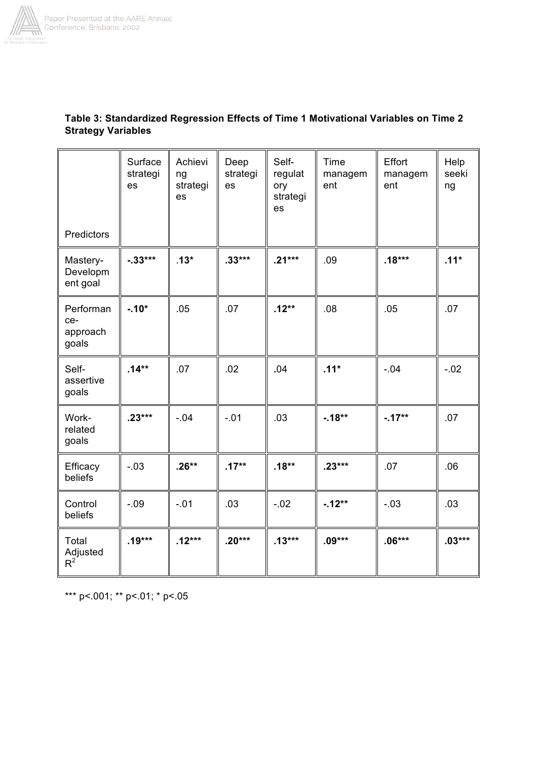

| Predictors                            | Surface<br>strategi<br>es | Achievi<br>ng<br>strategi<br>es | Deep<br>strategi<br>es | Self-<br>regulat<br>ory<br>strategi<br>es | Time<br>managem<br>ent | Effort<br>managem<br>ent | Help<br>seeki<br>ng |
|---------------------------------------|---------------------------|---------------------------------|------------------------|-------------------------------------------|------------------------|--------------------------|---------------------|
| Mastery-                              | $-33***$                  | $.13*$                          | $.33***$               | $.21***$                                  | .09                    | $.18***$                 | $.11*$              |
| Developm<br>ent goal                  |                           |                                 |                        |                                           |                        |                          |                     |
| Performan<br>ce-<br>approach<br>goals | $-10*$                    | .05                             | .07                    | $.12**$                                   | .08                    | .05                      | .07                 |
| Self-<br>assertive<br>goals           | $.14***$                  | .07                             | .02                    | .04                                       | $.11*$                 | $-.04$                   | $-.02$              |
| Work-<br>related<br>goals             | $.23***$                  | $-.04$                          | $-.01$                 | .03                                       | $-18**$                | $-.17**$                 | .07                 |
| Efficacy<br>beliefs                   | $-.03$                    | $.26**$                         | $.17**$                | $.18**$                                   | $.23***$               | .07                      | .06                 |
| Control<br>beliefs                    | $-.09$                    | $-.01$                          | .03                    | $-.02$                                    | $-12**$                | $-.03$                   | .03                 |
| Total<br>Adjusted<br>$R^2$            | $.19***$                  | $.12***$                        | $.20***$               | $.13***$                                  | $.09***$               | $.06***$                 | $.03***$            |

# Table 3: Standardized Regression Effects of Time 1 Motivational Variables on Time 2 **Strategy Variables**

\*\*\* p <. 001; \*\* p <. 01; \* p <. 05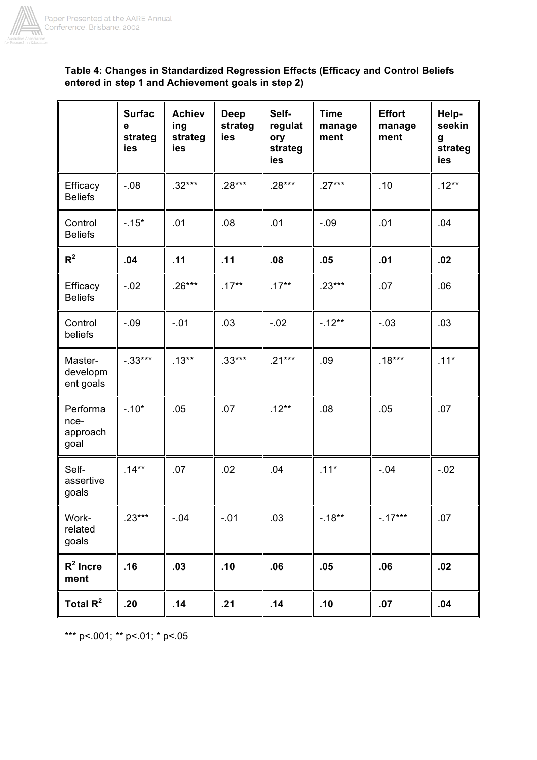

# Table 4: Changes in Standardized Regression Effects (Efficacy and Control Beliefs entered in step 1 and Achievement goals in step 2)

|                                      | <b>Surfac</b><br>е<br>strateg<br>ies | <b>Achiev</b><br>ing<br>strateg<br>ies | <b>Deep</b><br>strateg<br>ies | Self-<br>regulat<br>ory<br>strateg<br>ies | <b>Time</b><br>manage<br>ment | <b>Effort</b><br>manage<br>ment | Help-<br>seekin<br>g<br>strateg<br>ies |
|--------------------------------------|--------------------------------------|----------------------------------------|-------------------------------|-------------------------------------------|-------------------------------|---------------------------------|----------------------------------------|
| Efficacy<br><b>Beliefs</b>           | $-.08$                               | $.32***$                               | $.28***$                      | $.28***$                                  | $.27***$                      | .10                             | $.12**$                                |
| Control<br><b>Beliefs</b>            | $-.15*$                              | .01                                    | .08                           | .01                                       | $-.09$                        | .01                             | .04                                    |
| R <sup>2</sup>                       | .04                                  | .11                                    | .11                           | .08                                       | .05                           | .01                             | .02                                    |
| Efficacy<br><b>Beliefs</b>           | $-.02$                               | $.26***$                               | $.17***$                      | $.17***$                                  | $.23***$                      | .07                             | .06                                    |
| Control<br>beliefs                   | $-.09$                               | $-.01$                                 | .03                           | $-.02$                                    | $-.12**$                      | $-.03$                          | .03                                    |
| Master-<br>developm<br>ent goals     | $-.33***$                            | $.13***$                               | $.33***$                      | $.21***$                                  | .09                           | $.18***$                        | $.11*$                                 |
| Performa<br>nce-<br>approach<br>goal | $-.10*$                              | .05                                    | .07                           | $.12**$                                   | .08                           | .05                             | .07                                    |
| Self-<br>assertive<br>goals          | $.14***$                             | .07                                    | .02                           | .04                                       | $.11*$                        | $-.04$                          | $-.02$                                 |
| Work-<br>related<br>goals            | $.23***$                             | $-.04$                                 | $-.01$                        | .03                                       | $-.18**$                      | $-.17***$                       | .07                                    |
| $R^2$ Incre<br>ment                  | .16                                  | .03                                    | .10                           | .06                                       | .05                           | .06                             | .02                                    |
| Total $R^2$                          | .20                                  | .14                                    | .21                           | .14                                       | .10                           | .07                             | .04                                    |

\*\*\* p <. 001; \*\* p <. 01; \* p <. 05